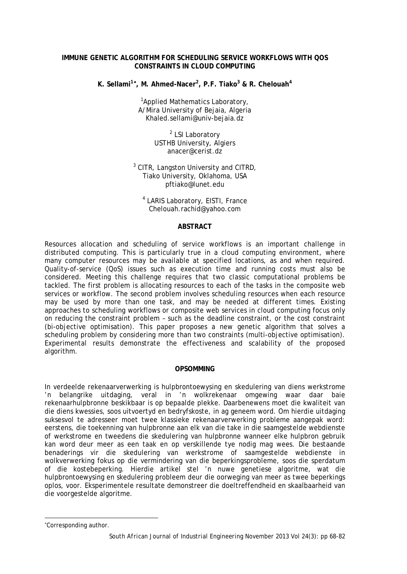### **IMMUNE GENETIC ALGORITHM FOR SCHEDULING SERVICE WORKFLOWS WITH QOS CONSTRAINTS IN CLOUD COMPUTING**

**K. Sellami1**[∗](#page-0-0) **, M. Ahmed-Nacer<sup>2</sup> , P.F. Tiako3 & R. Chelouah<sup>4</sup>**

<sup>1</sup>Applied Mathematics Laboratory, A/Mira University of Bejaia, Algeria Khaled.sellami@univ-bejaia.dz

> <sup>2</sup> LSI Laboratory USTHB University, Algiers anacer@cerist.dz

<sup>3</sup> CITR, Langston University and CITRD, Tiako University, Oklahoma, USA pftiako@lunet.edu

<sup>4</sup> LARIS Laboratory, EISTI, France Chelouah.rachid@yahoo.com

### **ABSTRACT**

Resources allocation and scheduling of service workflows is an important challenge in distributed computing. This is particularly true in a cloud computing environment, where many computer resources may be available at specified locations, as and when required. Quality-of-service (QoS) issues such as execution time and running costs must also be considered. Meeting this challenge requires that two classic computational problems be tackled. The first problem is allocating resources to each of the tasks in the composite web services or workflow. The second problem involves scheduling resources when each resource may be used by more than one task, and may be needed at different times. Existing approaches to scheduling workflows or composite web services in cloud computing focus only on reducing the constraint problem – such as the deadline constraint, or the cost constraint (bi-objective optimisation). This paper proposes a new genetic algorithm that solves a scheduling problem by considering more than two constraints (multi-objective optimisation). Experimental results demonstrate the effectiveness and scalability of the proposed algorithm.

### **OPSOMMING**

In verdeelde rekenaarverwerking is hulpbrontoewysing en skedulering van diens werkstrome 'n belangrike uitdaging, veral in 'n wolkrekenaar omgewing waar daar baie rekenaarhulpbronne beskikbaar is op bepaalde plekke. Daarbenewens moet die kwaliteit van die diens kwessies, soos uitvoertyd en bedryfskoste, in ag geneem word. Om hierdie uitdaging suksesvol te adresseer moet twee klassieke rekenaarverwerking probleme aangepak word: eerstens, die toekenning van hulpbronne aan elk van die take in die saamgestelde webdienste of werkstrome en tweedens die skedulering van hulpbronne wanneer elke hulpbron gebruik kan word deur meer as een taak en op verskillende tye nodig mag wees. Die bestaande benaderings vir die skedulering van werkstrome of saamgestelde webdienste in wolkverwerking fokus op die vermindering van die beperkingsprobleme, soos die sperdatum of die kostebeperking. Hierdie artikel stel 'n nuwe genetiese algoritme, wat die hulpbrontoewysing en skedulering probleem deur die oorweging van meer as twee beperkings oplos, voor. Eksperimentele resultate demonstreer die doeltreffendheid en skaalbaarheid van die voorgestelde algoritme.

l

<span id="page-0-0"></span><sup>∗</sup> Corresponding author.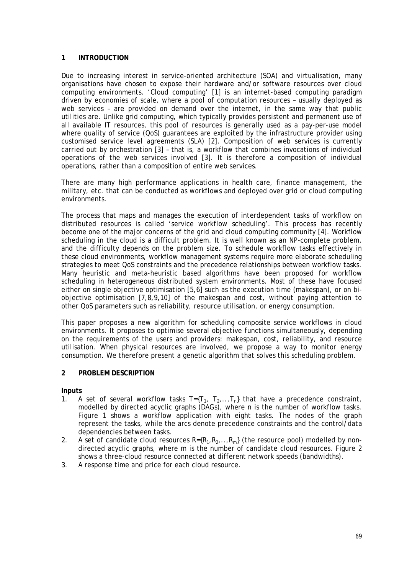# **1 INTRODUCTION**

Due to increasing interest in service-oriented architecture (SOA) and virtualisation, many organisations have chosen to expose their hardware and/or software resources over cloud computing environments. 'Cloud computing' [1] is an internet-based computing paradigm driven by economies of scale, where a pool of computation resources – usually deployed as web services – are provided on demand over the internet, in the same way that public utilities are. Unlike grid computing, which typically provides persistent and permanent use of all available IT resources, this pool of resources is generally used as a pay-per-use model where quality of service (QoS) guarantees are exploited by the infrastructure provider using customised service level agreements (SLA) [2]. Composition of web services is currently carried out by orchestration [3] – that is, a workflow that combines invocations of individual operations of the web services involved [3]. It is therefore a composition of individual operations, rather than a composition of entire web services.

There are many high performance applications in health care, finance management, the military, etc. that can be conducted as workflows and deployed over grid or cloud computing environments.

The process that maps and manages the execution of interdependent tasks of workflow on distributed resources is called 'service workflow scheduling'. This process has recently become one of the major concerns of the grid and cloud computing community [4]. Workflow scheduling in the cloud is a difficult problem. It is well known as an NP-complete problem, and the difficulty depends on the problem size. To schedule workflow tasks effectively in these cloud environments, workflow management systems require more elaborate scheduling strategies to meet QoS constraints and the precedence relationships between workflow tasks. Many heuristic and meta-heuristic based algorithms have been proposed for workflow scheduling in heterogeneous distributed system environments. Most of these have focused either on single objective optimisation [5,6] such as the execution time (makespan), or on biobjective optimisation [7,8,9,10] of the makespan and cost, without paying attention to other QoS parameters such as reliability, resource utilisation, or energy consumption.

This paper proposes a new algorithm for scheduling composite service workflows in cloud environments. It proposes to optimise several objective functions simultaneously, depending on the requirements of the users and providers: makespan, cost, reliability, and resource utilisation. When physical resources are involved, we propose a way to monitor energy consumption. We therefore present a genetic algorithm that solves this scheduling problem.

### **2 PROBLEM DESCRIPTION**

### **Inputs**

- 1. A set of several workflow tasks  $T=[T_1, T_2, \ldots, T_n]$  that have a precedence constraint, modelled by directed acyclic graphs (DAGs), where *n* is the number of workflow tasks. Figure 1 shows a workflow application with eight tasks. The nodes of the graph represent the tasks, while the arcs denote precedence constraints and the control/data dependencies between tasks.
- 2. A set of candidate cloud resources *R={R1,R2,..,Rm}* (the resource pool) modelled by nondirected acyclic graphs, where *m* is the number of candidate cloud resources. Figure 2 shows a three-cloud resource connected at different network speeds (bandwidths).
- 3. A response time and price for each cloud resource.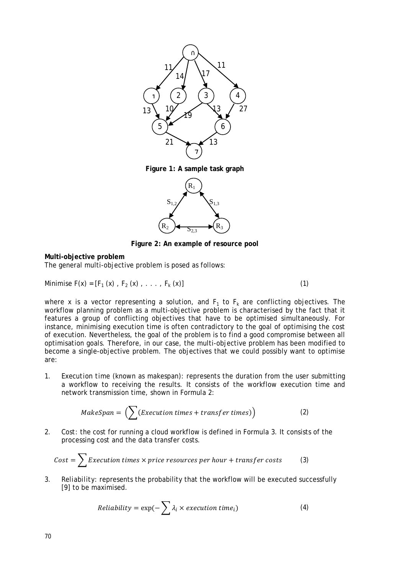

**Figure 1: A sample task graph**



**Figure 2: An example of resource pool**

### **Multi-objective problem**

The general multi-objective problem is posed as follows:

Minimise 
$$
F(x) = [F_1(x), F_2(x), \ldots, F_k(x)]
$$
 (1)

where x is a vector representing a solution, and  $F_1$  to  $F_k$  are conflicting objectives. The workflow planning problem as a multi-objective problem is characterised by the fact that it features a group of conflicting objectives that have to be optimised simultaneously. For instance, minimising execution time is often contradictory to the goal of optimising the cost of execution. Nevertheless, the goal of the problem is to find a good compromise between all optimisation goals. Therefore, in our case, the multi-objective problem has been modified to become a single-objective problem. The objectives that we could possibly want to optimise are:

1. *Execution time* (known as *makespan*): represents the duration from the user submitting a workflow to receiving the results. It consists of the workflow execution time and network transmission time, shown in Formula 2:

$$
MakeSpan = \left(\sum (Execution \ times + transfer \ times)\right) \tag{2}
$$

2. *Cost*: the cost for running a cloud workflow is defined in Formula 3. It consists of the processing cost and the data transfer costs.

$$
Cost = \sum Execution times \times price resources per hour + transfer costs
$$
 (3)

3. *Reliability*: represents the probability that the workflow will be executed successfully [9] to be maximised.

$$
Reliability = \exp(-\sum \lambda_i \times execution \, time_i)
$$
 (4)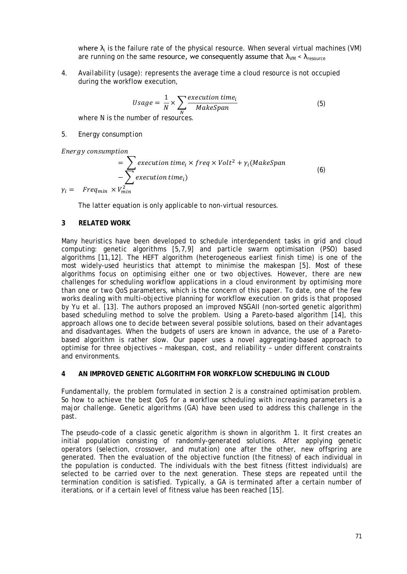where  $\lambda_i$  is the failure rate of the physical resource. When several virtual machines (VM) are running on the same resource, we consequently assume that  $\lambda_{VM} < \lambda_{resoluce}$ 

4. *Availability (usage)*: represents the average time a cloud resource is not occupied during the workflow execution,

$$
Usage = \frac{1}{N} \times \sum_{N} \frac{execution \, time_i}{MakeSpan}
$$
(5)

where N is the number of resources.

### *5. Energy consumption*

Ener av consumption

$$
= \sum_{i=1}^{\infty} execution \, time_i \times freq \times Volt^2 + \gamma_i (MakeSpan - \sum_{i=1}^{\infty} execution \, time_i)
$$
\n
$$
\gamma_i = \text{Freq}_{min} \times V_{min}^2 \tag{6}
$$

The latter equation is only applicable to non-virtual resources.

## **3 RELATED WORK**

Many heuristics have been developed to schedule interdependent tasks in grid and cloud computing: genetic algorithms [5,7,9] and particle swarm optimisation (PSO) based algorithms [11,12]. The HEFT algorithm (heterogeneous earliest finish time) is one of the most widely-used heuristics that attempt to minimise the makespan [5]. Most of these algorithms focus on optimising either one or two objectives. However, there are new challenges for scheduling workflow applications in a cloud environment by optimising more than one or two QoS parameters, which is the concern of this paper. To date, one of the few works dealing with multi-objective planning for workflow execution on grids is that proposed by Yu et al. [13]. The authors proposed an improved NSGAII (non-sorted genetic algorithm) based scheduling method to solve the problem. Using a Pareto-based algorithm [14], this approach allows one to decide between several possible solutions, based on their advantages and disadvantages. When the budgets of users are known in advance, the use of a Paretobased algorithm is rather slow. Our paper uses a novel aggregating-based approach to optimise for three objectives – makespan, cost, and reliability – under different constraints and environments.

# **4 AN IMPROVED GENETIC ALGORITHM FOR WORKFLOW SCHEDULING IN CLOUD**

Fundamentally, the problem formulated in section 2 is a constrained optimisation problem. So how to achieve the best QoS for a workflow scheduling with increasing parameters is a major challenge. Genetic algorithms (GA) have been used to address this challenge in the past.

The pseudo-code of a classic genetic algorithm is shown in algorithm 1. It first creates an initial population consisting of randomly-generated solutions. After applying genetic operators (selection, crossover, and mutation) one after the other, new offspring are generated. Then the evaluation of the objective function (the fitness) of each individual in the population is conducted. The individuals with the best fitness (fittest individuals) are selected to be carried over to the next generation. These steps are repeated until the termination condition is satisfied. Typically, a GA is terminated after a certain number of iterations, or if a certain level of fitness value has been reached [15].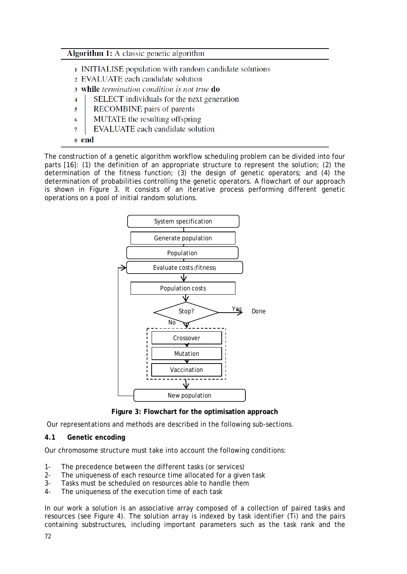# **Algorithm 1:** A classic genetic algorithm

- 1 INITIALISE population with random candidate solutions
- 2 EVALUATE each candidate solution
- 3 while termination condition is not true do
- $\overline{4}$ SELECT individuals for the next generation
- $\overline{\mathbf{s}}$ **RECOMBINE** pairs of parents
- MUTATE the resulting offspring 6
- **EVALUATE** each candidate solution  $\overline{7}$
- 8 end

The construction of a genetic algorithm workflow scheduling problem can be divided into four parts [16]: (1) the definition of an appropriate structure to represent the solution; (2) the determination of the fitness function; (3) the design of genetic operators; and (4) the determination of probabilities controlling the genetic operators. A flowchart of our approach is shown in Figure 3. It consists of an iterative process performing different genetic operations on a pool of initial random solutions.



**Figure 3: Flowchart for the optimisation approach**

Our representations and methods are described in the following sub-sections.

## **4.1 Genetic encoding**

Our chromosome structure must take into account the following conditions:

- 1- The precedence between the different tasks (or services)
- 2- The uniqueness of each resource time allocated for a given task
- 3- Tasks must be scheduled on resources able to handle them
- 4- The uniqueness of the execution time of each task

In our work a solution is an associative array composed of a collection of paired tasks and resources (see Figure 4). The solution array is indexed by task identifier (Ti) and the pairs containing substructures, including important parameters such as the task rank and the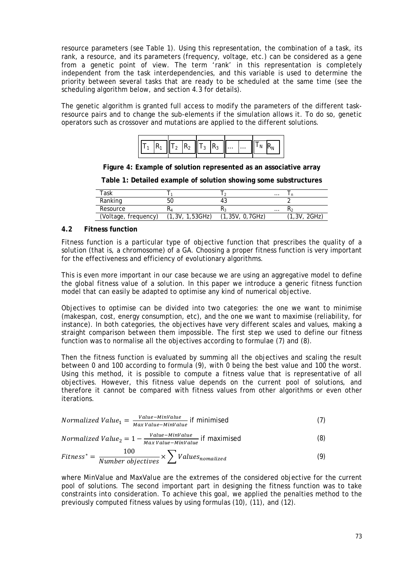resource parameters (see Table 1). Using this representation, the combination of a task, its rank, a resource, and its parameters (frequency, voltage, etc.) can be considered as a gene from a genetic point of view. The term 'rank' in this representation is completely independent from the task interdependencies, and this variable is used to determine the priority between several tasks that are ready to be scheduled at the same time (see the scheduling algorithm below, and section 4.3 for details).

The genetic algorithm is granted full access to modify the parameters of the different taskresource pairs and to change the sub-elements if the simulation allows it. To do so, genetic operators such as crossover and mutations are applied to the different solutions.

|  |  |  |  | $\left\  \overline{T_1} \right\  R_1 \right\  T_2 \left\  R_2 \right\  T_3 \left\  R_3 \right\  \dots \dots \left\  T_N \left\  R_N \right\ $ |  |  |
|--|--|--|--|-----------------------------------------------------------------------------------------------------------------------------------------------|--|--|
|  |  |  |  |                                                                                                                                               |  |  |

**Figure 4: Example of solution represented as an associative array**

**Table 1: Detailed example of solution showing some substructures**

| Task                 |                |                 | $\cdots$ |                |
|----------------------|----------------|-----------------|----------|----------------|
| Ranking              | 50             | 4.,             |          |                |
| Resource             | EМ             |                 | $\cdots$ |                |
| (Voltage, frequency) | 1,3V, 1,53GHz) | (1,35V, 0,7GHz) |          | 2GHz)<br>1.3V. |

# **4.2 Fitness function**

Fitness function is a particular type of objective function that prescribes the quality of a solution (that is, a chromosome) of a GA. Choosing a proper fitness function is very important for the effectiveness and efficiency of evolutionary algorithms.

This is even more important in our case because we are using an aggregative model to define the global fitness value of a solution. In this paper we introduce a generic fitness function model that can easily be adapted to optimise any kind of numerical objective.

Objectives to optimise can be divided into two categories: the one we want to minimise (makespan, cost, energy consumption, etc), and the one we want to maximise (reliability, for instance). In both categories, the objectives have very different scales and values, making a straight comparison between them impossible. The first step we used to define our fitness function was to normalise all the objectives according to formulae (7) and (8).

Then the fitness function is evaluated by summing all the objectives and scaling the result between 0 and 100 according to formula (9), with 0 being the best value and 100 the worst. Using this method, it is possible to compute a fitness value that is representative of all objectives. However, this fitness value depends on the current pool of solutions, and therefore it cannot be compared with fitness values from other algorithms or even other iterations.

*Normalized Value*<sub>1</sub> = 
$$
\frac{Value - MinValue}{Max Value - MinValue}
$$
 if minimised (7)

*Normalized Value*<sub>2</sub> = 
$$
1 - \frac{Value - MinValue}{Max Value - MinValue}
$$
 if maximised (8)

$$
Fitness^* = \frac{100}{Number\ objectives} \times \sum Values_{nomalized}
$$
 (9)

where *MinValue* and *MaxValue* are the extremes of the considered objective for the current pool of solutions. The second important part in designing the fitness function was to take constraints into consideration. To achieve this goal, we applied the penalties method to the previously computed fitness values by using formulas (10), (11), and (12).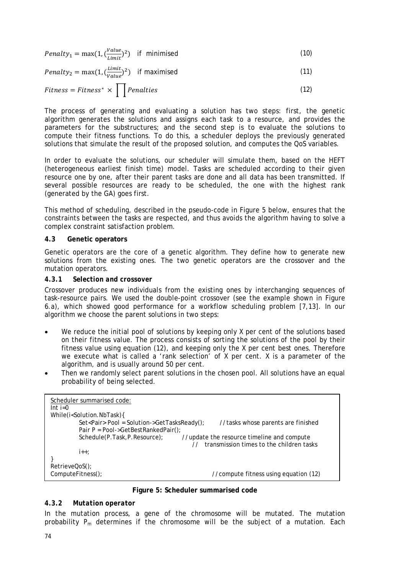| <i>Penalty</i> <sub>1</sub> = max(1, $\left(\frac{Value}{Limit}\right)^2$ ) if minimised |  | (10) |
|------------------------------------------------------------------------------------------|--|------|
|------------------------------------------------------------------------------------------|--|------|

 $Penalty_2 = \max(1, (\frac{Limit}{Value})^2)$  if maximised (11)

$$
Fitness = Fitness^* \times \prod Penalties
$$
 (12)

The process of generating and evaluating a solution has two steps: first, the genetic algorithm generates the solutions and assigns each task to a resource, and provides the parameters for the substructures; and the second step is to evaluate the solutions to compute their fitness functions. To do this, a scheduler deploys the previously generated solutions that simulate the result of the proposed solution, and computes the QoS variables.

In order to evaluate the solutions, our scheduler will simulate them, based on the HEFT (heterogeneous earliest finish time) model. Tasks are scheduled according to their given resource one by one, after their parent tasks are done and all data has been transmitted. If several possible resources are ready to be scheduled, the one with the highest rank (generated by the GA) goes first.

This method of scheduling, described in the pseudo-code in Figure 5 below, ensures that the constraints between the tasks are respected, and thus avoids the algorithm having to solve a complex constraint satisfaction problem.

# **4.3 Genetic operators**

Genetic operators are the core of a genetic algorithm. They define how to generate new solutions from the existing ones. The two genetic operators are the crossover and the mutation operators.

# *4.3.1 Selection and crossover*

Crossover produces new individuals from the existing ones by interchanging sequences of task-resource pairs. We used the double-point crossover (see the example shown in Figure 6.a), which showed good performance for a workflow scheduling problem [7,13]. In our algorithm we choose the parent solutions in two steps:

- We reduce the initial pool of solutions by keeping only X per cent of the solutions based on their fitness value. The process consists of sorting the solutions of the pool by their fitness value using equation (12), and keeping only the X per cent best ones. Therefore we execute what is called a 'rank selection' of X per cent. X is a parameter of the algorithm, and is usually around 50 per cent.
- Then we randomly select parent solutions in the chosen pool. All solutions have an equal probability of being selected.

| Scheduler summarised code:<br>$Int$ i=0                                                       |
|-----------------------------------------------------------------------------------------------|
| While(i <solution.nbtask){< td=""></solution.nbtask){<>                                       |
| Set <pair> Pool = Solution-&gt;GetTasksReady();<br/>//tasks whose parents are finished</pair> |
| Pair P = Pool->GetBestRankedPair();                                                           |
| Schedule(P.Task, P.Resource);<br>//update the resource timeline and compute                   |
| transmission times to the children tasks                                                      |
| $1++$ :                                                                                       |
|                                                                                               |
| RetrieveQoS();                                                                                |
| ComputeFitness();<br>//compute fitness using equation (12)                                    |

**Figure 5: Scheduler summarised code**

# *4.3.2 Mutation operator*

In the mutation process, a gene of the chromosome will be mutated. The mutation probability *Pm* determines if the chromosome will be the subject of a mutation. Each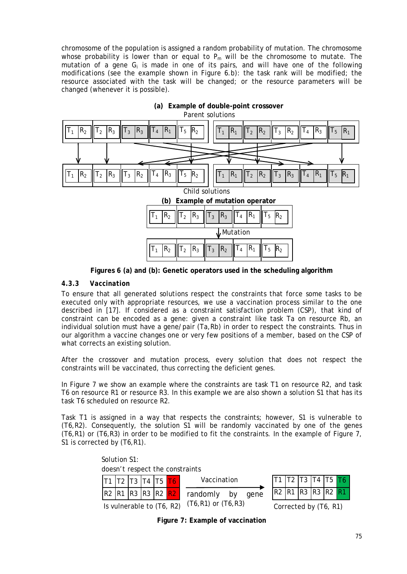chromosome of the population is assigned a random probability of mutation. The chromosome whose probability is lower than or equal to  $P_m$  will be the chromosome to mutate. The mutation of a gene *Gi* is made in one of its pairs, and will have one of the following modifications (see the example shown in Figure 6.b): the task rank will be modified; the resource associated with the task will be changed; or the resource parameters will be changed (whenever it is possible).



**Figures 6 (a) and (b): Genetic operators used in the scheduling algorithm**

# *4.3.3 Vaccination*

To ensure that all generated solutions respect the constraints that force some tasks to be executed only with appropriate resources, we use a vaccination process similar to the one described in [17]. If considered as a constraint satisfaction problem (CSP), that kind of constraint can be encoded as a gene: given a constraint like task *Ta* on resource *Rb*, an individual solution must have a gene/pair (*Ta,Rb*) in order to respect the constraints. Thus in our algorithm a vaccine changes one or very few positions of a member, based on the CSP of what corrects an existing solution.

After the crossover and mutation process, every solution that does not respect the constraints will be vaccinated, thus correcting the deficient genes.

In Figure 7 we show an example where the constraints are task *T1* on resource *R2,* and task *T6* on resource *R1* or resource *R3*. In this example we are also shown a solution *S1* that has its task *T6* scheduled on resource *R2*.

Task *T1* is assigned in a way that respects the constraints; however, *S1* is vulnerable to (*T6,R2*). Consequently, the solution *S1* will be randomly vaccinated by one of the genes (*T6,R1*) or (*T6,R3*) in order to be modified to fit the constraints. In the example of Figure 7, *S1* is corrected by (*T6,R1*).



Is vulnerable to (T6, R2)

**Figure 7: Example of vaccination**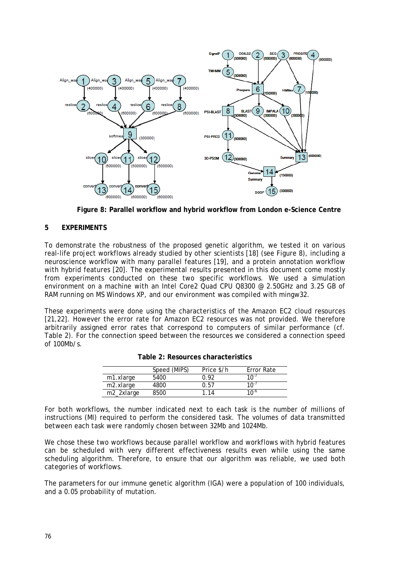

**Figure 8: Parallel workflow and hybrid workflow from London e-Science Centre**

# **5 EXPERIMENTS**

To demonstrate the robustness of the proposed genetic algorithm, we tested it on various real-life project workflows already studied by other scientists [18] (see Figure 8), including a neuroscience workflow with many parallel features [19], and a protein annotation workflow with hybrid features [20]. The experimental results presented in this document come mostly from experiments conducted on these two specific workflows. We used a simulation environment on a machine with an Intel Core2 Quad CPU Q8300 @ 2.50GHz and 3.25 GB of RAM running on MS Windows XP, and our environment was compiled with mingw32.

These experiments were done using the characteristics of the Amazon EC2 cloud resources [21,22]. However the error rate for Amazon EC2 resources was not provided. We therefore arbitrarily assigned error rates that correspond to computers of similar performance (cf. Table 2). For the connection speed between the resources we considered a connection speed of 100Mb/s.

|                        | Speed (MIPS) | Price \$/h | Error Rate       |
|------------------------|--------------|------------|------------------|
| m1.xlarge              | 5400         | በ 92       | 10 <sup>-1</sup> |
| m2.xlarge              | 4800         | 0.57       | 10 <sup>-1</sup> |
| m <sub>2</sub> 2xlarge | 8500         | 114        | 1∩ <sup>-6</sup> |

For both workflows, the number indicated next to each task is the number of millions of instructions (MI) required to perform the considered task. The volumes of data transmitted between each task were randomly chosen between 32Mb and 1024Mb.

We chose these two workflows because parallel workflow and workflows with hybrid features can be scheduled with very different effectiveness results even while using the same scheduling algorithm. Therefore, to ensure that our algorithm was reliable, we used both categories of workflows.

The parameters for our immune genetic algorithm (IGA) were a population of 100 individuals, and a 0.05 probability of mutation.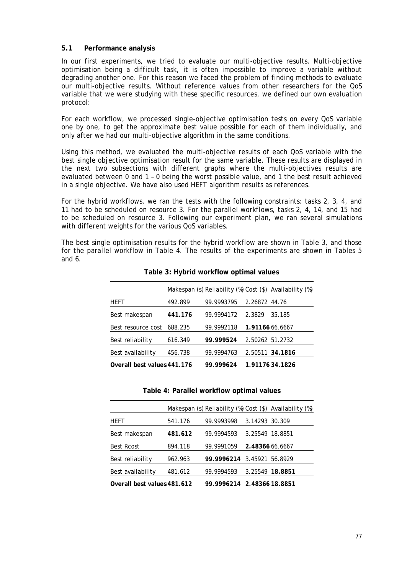## **5.1 Performance analysis**

In our first experiments, we tried to evaluate our multi-objective results. Multi-objective optimisation being a difficult task, it is often impossible to improve a variable without degrading another one. For this reason we faced the problem of finding methods to evaluate our multi-objective results. Without reference values from other researchers for the QoS variable that we were studying with these specific resources, we defined our own evaluation protocol:

For each workflow, we processed single-objective optimisation tests on every QoS variable one by one, to get the approximate best value possible for each of them individually, and only after we had our multi-objective algorithm in the same conditions.

Using this method, we evaluated the multi-objective results of each QoS variable with the best single objective optimisation result for the same variable. These results are displayed in the next two subsections with different graphs where the multi-objectives results are evaluated between 0 and 1 – 0 being the worst possible value, and 1 the best result achieved in a single objective. We have also used HEFT algorithm results as references.

For the hybrid workflows, we ran the tests with the following constraints: tasks 2, 3, 4, and 11 had to be scheduled on resource 3. For the parallel workflows, tasks 2, 4, 14, and 15 had to be scheduled on resource 3. Following our experiment plan, we ran several simulations with different weights for the various QoS variables.

The best single optimisation results for the hybrid workflow are shown in Table 3, and those for the parallel workflow in Table 4. The results of the experiments are shown in Tables 5 and 6.

|                             |         |            |               | Makespan (s) Reliability (%) Cost (\$) Availability (%) |
|-----------------------------|---------|------------|---------------|---------------------------------------------------------|
| HEFT                        | 492.899 | 99.9993795 | 2.26872 44.76 |                                                         |
| Best makespan               | 441.176 | 99.9994172 | 2.3829        | 35.185                                                  |
| Best resource cost          | 688.235 | 99.9992118 |               | 1.91166 66.6667                                         |
| Best reliability            | 616.349 | 99.999524  |               | 2.50262 51.2732                                         |
| Best availability           | 456.738 | 99.9994763 |               | 2.50511 34.1816                                         |
| Overall best values 441.176 |         | 99.999624  |               | 1.9117634.1826                                          |
|                             |         |            |               |                                                         |

**Table 3: Hybrid workflow optimal values**

#### **Table 4: Parallel workflow optimal values**

|                             |         |                            |                 | Makespan (s) Reliability (%) Cost (\$) Availability (%) |
|-----------------------------|---------|----------------------------|-----------------|---------------------------------------------------------|
| HEFT                        | 541.176 | 99.9993998                 | 3.14293 30.309  |                                                         |
| Best makespan               | 481.612 | 99.9994593                 | 3.25549 18.8851 |                                                         |
| <b>Best Rcost</b>           | 894.118 | 99.9991059                 | 2.48366 66.6667 |                                                         |
| Best reliability            | 962.963 | 99.9996214 3.45921 56.8929 |                 |                                                         |
| Best availability           | 481.612 | 99.9994593                 |                 | 3.25549 18.8851                                         |
| Overall best values 481.612 |         | 99.9996214 2.48366 18.8851 |                 |                                                         |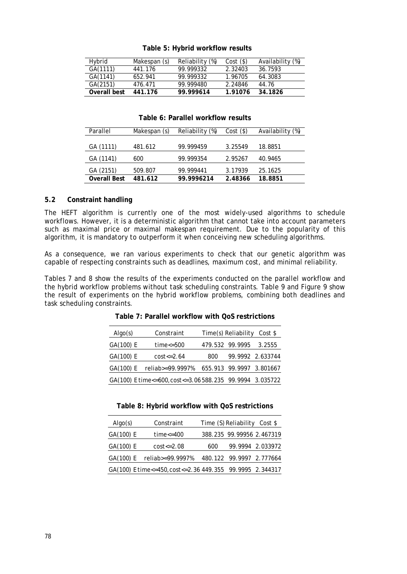#### **ATable 5: Hybrid workflow results**

| Hybrid       | Makespan (s) | Reliability (%) | Cost(S) | Availability (%) |
|--------------|--------------|-----------------|---------|------------------|
| GA(1111)     | 441.176      | 99.999332       | 2.32403 | 36.7593          |
| GA(1141)     | 652.941      | 99.999332       | 1.96705 | 64.3083          |
| GA(2151)     | 476.471      | 99.999480       | 2.24846 | 44.76            |
| Overall best | 441.176      | 99.999614       | 1.91076 | 34.1826          |

#### **Table 6: Parallel workflow results**

| Parallel            | Makespan (s) | Reliability (%) | $Cost($ \$) | Availability (%) |
|---------------------|--------------|-----------------|-------------|------------------|
|                     |              |                 |             |                  |
| GA (1111)           | 481.612      | 99.999459       | 3.25549     | 18.8851          |
| GA (1141)           | 600          | 99.999354       | 2.95267     | 40.9465          |
| GA (2151)           | 509.807      | 99.999441       | 3.17939     | 25.1625          |
| <b>Overall Best</b> | 481.612      | 99.9996214      | 2.48366     | 18.8851          |

### **5.2 Constraint handling**

The HEFT algorithm is currently one of the most widely-used algorithms to schedule workflows. However, it is a deterministic algorithm that cannot take into account parameters such as maximal price or maximal makespan requirement. Due to the popularity of this algorithm, it is mandatory to outperform it when conceiving new scheduling algorithms.

As a consequence, we ran various experiments to check that our genetic algorithm was capable of respecting constraints such as deadlines, maximum cost, and minimal reliability.

Tables 7 and 8 show the results of the experiments conducted on the parallel workflow and the hybrid workflow problems without task scheduling constraints. Table 9 and Figure 9 show the result of experiments on the hybrid workflow problems, combining both deadlines and task scheduling constraints.

| Alqo(s)   | Constraint                                              |     | Time(s) Reliability | Cost \$                  |
|-----------|---------------------------------------------------------|-----|---------------------|--------------------------|
| GA(100) E | time < 500                                              |     | 479.532 99.9995     | 3.2555                   |
| GA(100) E | $cost < = 2.64$                                         | 800 |                     | 99.9992 2.633744         |
| GA(100) E | reliab>=99.9997%                                        |     |                     | 655.913 99.9997 3.801667 |
|           | GA(100) E time<=600, cost<=3.06588.235 99.9994 3.035722 |     |                     |                          |

### **Table 7: Parallel workflow with QoS restrictions**

#### **Table 8: Hybrid workflow with QoS restrictions**

| Alqo(s)   | Constraint                                               |     | Time (S) Reliability Cost \$ |                  |
|-----------|----------------------------------------------------------|-----|------------------------------|------------------|
| GA(100) E | $time < = 400$                                           |     | 388.235 99.99956 2.467319    |                  |
| GA(100) E | $cost \le 2.08$                                          | 600 |                              | 99.9994 2.033972 |
| GA(100) E | reliab>=99.9997%                                         |     | 480.122 99.9997 2.777664     |                  |
|           | GA(100) E time<=450, cost<=2.36 449.355 99.9995 2.344317 |     |                              |                  |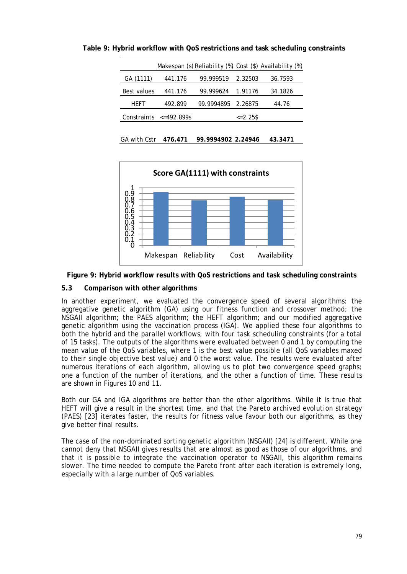|             |                              |                    |               | Makespan (s) Reliability (%) Cost (\$) Availability (%) |
|-------------|------------------------------|--------------------|---------------|---------------------------------------------------------|
| GA (1111)   | 441.176                      | 99.999519          | 2.32503       | 36.7593                                                 |
| Best values | 441.176                      | 99.999624          | 1.91176       | 34.1826                                                 |
| <b>HFFT</b> | 492.899                      | 99.9994895 2.26875 |               | 44.76                                                   |
|             | Constraints $\leq 492.899$ s |                    | $\leq$ 2.25\$ |                                                         |
|             |                              |                    |               |                                                         |

**ATable 9: Hybrid workflow with QoS restrictions and task scheduling constraints**







# **5.3 Comparison with other algorithms**

In another experiment, we evaluated the convergence speed of several algorithms: the aggregative genetic algorithm (GA) using our fitness function and crossover method; the NSGAII algorithm; the PAES algorithm; the HEFT algorithm; and our modified aggregative genetic algorithm using the vaccination process (IGA). We applied these four algorithms to both the hybrid and the parallel workflows, with four task scheduling constraints (for a total of 15 tasks). The outputs of the algorithms were evaluated between 0 and 1 by computing the mean value of the QoS variables, where 1 is the best value possible (all QoS variables maxed to their single objective best value) and 0 the worst value. The results were evaluated after numerous iterations of each algorithm, allowing us to plot two convergence speed graphs; one a function of the number of iterations, and the other a function of time. These results are shown in Figures 10 and 11.

Both our GA and IGA algorithms are better than the other algorithms. While it is true that HEFT will give a result in the shortest time, and that the *Pareto archived evolution strategy* (PAES) [23] iterates faster, the results for fitness value favour both our algorithms, as they give better final results.

The case of the *non-dominated sorting genetic algorithm* (NSGAII) [24] is different. While one cannot deny that NSGAII gives results that are almost as good as those of our algorithms, and that it is possible to integrate the vaccination operator to NSGAII, this algorithm remains slower. The time needed to compute the Pareto front after each iteration is extremely long, especially with a large number of QoS variables.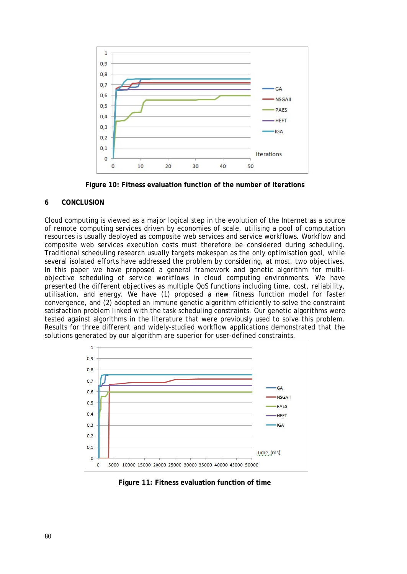

**Figure 10: Fitness evaluation function of the number of Iterations**

# **6 CONCLUSION**

Cloud computing is viewed as a major logical step in the evolution of the Internet as a source of remote computing services driven by economies of scale, utilising a pool of computation resources is usually deployed as composite web services and service workflows. Workflow and composite web services execution costs must therefore be considered during scheduling. Traditional scheduling research usually targets makespan as the only optimisation goal, while several isolated efforts have addressed the problem by considering, at most, two objectives. In this paper we have proposed a general framework and genetic algorithm for multiobjective scheduling of service workflows in cloud computing environments. We have presented the different objectives as multiple QoS functions including time, cost, reliability, utilisation, and energy. We have (1) proposed a new fitness function model for faster convergence, and (2) adopted an immune genetic algorithm efficiently to solve the constraint satisfaction problem linked with the task scheduling constraints. Our genetic algorithms were tested against algorithms in the literature that were previously used to solve this problem. Results for three different and widely-studied workflow applications demonstrated that the solutions generated by our algorithm are superior for user-defined constraints.



**Figure 11: Fitness evaluation function of time**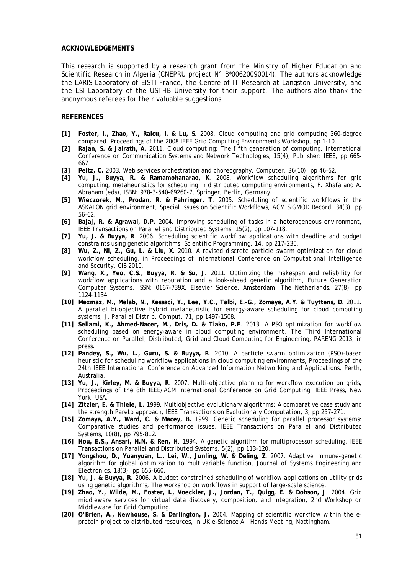#### **ACKNOWLEDGEMENTS**

This research is supported by a research grant from the Ministry of Higher Education and Scientific Research in Algeria (CNEPRU project N° B\*00620090014). The authors acknowledge the LARIS Laboratory of EISTI France, the Centre of IT Research at Langston University, and the LSI Laboratory of the USTHB University for their support. The authors also thank the anonymous referees for their valuable suggestions.

### **REFERENCES**

- **[1] Foster, I., Zhao, Y., Raicu, I. & Lu, S**. 2008. Cloud computing and grid computing 360-degree compared*. Proceedings of the 2008 IEEE Grid Computing Environments Workshop*, pp 1-10.
- **[2] Rajan, S. & Jairath, A.** 2011. *Cloud computing: The fifth generation of computing*. International Conference on Communication Systems and Network Technologies, 15(4), Publisher: IEEE, pp 665- 667.
- **[3] Peltz, C.** 2003. Web services orchestration and choreography*. Computer*, 36(10), pp 46–52.
- **[4] Yu, J., Buyya, R. & Ramamohanarao, K**. 2008. *[Workflow scheduling algorithms for grid](http://www.cloudbus.org/papers/MHS-Springer-Jia2008.pdf)  [computing,](http://www.cloudbus.org/papers/MHS-Springer-Jia2008.pdf) metaheuristics for scheduling in distributed computing environments,* F. Xhafa and A. Abraham (eds), ISBN: 978-3-540-69260-7, Springer, Berlin, Germany.
- **[5] Wieczorek, M., Prodan, R. & Fahringer, T**. 2005. Scheduling of scientific workflows in the ASKALON grid environment, Special Issues on Scientific Workflows, *ACM SIGMOD Record*, 34(3), pp 56-62.
- **[6] Bajaj, R. & Agrawal, D.P.** 2004. Improving scheduling of tasks in a heterogeneous environment*, IEEE Transactions on Parallel and Distributed Systems*, 15(2), pp 107-118.
- **[7] Yu, J. & Buyya, R**. 2006. Scheduling scientific workflow applications with deadline and budget constraints using genetic algorithms*, Scientific Programming*, 14, pp 217-230.
- **[8] Wu, Z., Ni, Z., Gu, L. & Liu, X**. 2010. A revised discrete particle swarm optimization for cloud workflow scheduling, in *Proceedings of International Conference on Computational Intelligence and Security*, CIS 2010.
- **[9] Wang, X., Yeo, C.S., Buyya, R. & Su, J**. 2011. [Optimizing the makespan and reliability for](http://gridbus.cs.mu.oz.au/papers/TrustedWorkflowScheduling-FGCS2011.pdf)  [workflow applications with reputation and a look-ahead genetic algorithm](http://gridbus.cs.mu.oz.au/papers/TrustedWorkflowScheduling-FGCS2011.pdf)*, Future Generation Computer Systems,* ISSN: 0167-739X, Elsevier Science, Amsterdam, The Netherlands, 27(8), pp 1124-1134.
- **[10] Mezmaz, M., Melab, N., Kessaci, Y., Lee, Y.C., Talbi, E.-G., Zomaya, A.Y. & Tuyttens, D**. 2011. A parallel bi-objective hybrid metaheuristic for energy-aware scheduling for cloud computing systems*, J. Parallel Distrib. Comput.* 71, pp 1497-1508.
- **[11] Sellami, K., Ahmed-Nacer, M., Dris, D. & Tiako, P.F**. 2013. A PSO optimization for workflow scheduling based on energy-aware in cloud computing environment*, The Third International Conference on Parallel, Distributed, Grid and Cloud Computing for Engineering*, PARENG 2013, in press.
- **[12] Pandey, S., Wu, L., Guru, S. & Buyya, R**. 2010. [A particle swarm optimization \(PSO\)-based](http://gridbus.cs.mu.oz.au/papers/AINA2010-PSOSched-Workflow.pdf)  [heuristic for scheduling workflow applications in cloud computing environments](http://gridbus.cs.mu.oz.au/papers/AINA2010-PSOSched-Workflow.pdf)*, Proceedings of the 24th IEEE International Conference on Advanced Information Networking and Applications,* Perth, Australia*.*
- **[13] Yu, J., Kirley, M. & Buyya, R**. 2007. [Multi-objective planning for workflow execution on grids](http://www.cloudbus.org/papers/workflow-grid2007.pdf)*, Proceedings of the 8th IEEE/ACM International Conference on Grid Computing, IEEE Press, New* York, USA*.*
- **[14] Zitzler, E. & Thiele, L.** 1999. Multiobjective evolutionary algorithms: A comparative case study and the strength Pareto approach*, IEEE Transactions on Evolutionary Computation,* 3, pp 257-271*.*
- **[15] Zomaya, A.Y., Ward, C. & Macey, B.** *1999.* Genetic scheduling for parallel processor systems: Comparative studies and performance issues*, IEEE Transactions on Parallel and Distributed Systems,* 10(8), pp 795-812*.*
- **[16] Hou, E.S., Ansari, H.N. & Ren, H***. 1994.* A genetic algorithm for multiprocessor scheduling*, IEEE Transactions on Parallel and Distributed Systems*, 5(2), pp 113-120.
- **[17] Yongshou, D., Yuanyuan, L., Lei, W., Junling, W. & Deling, Z**. 2007*.* Adaptive immune-genetic algorithm for global optimization to multivariable function*, Journal of Systems Engineering and Electronics*, 18(3), pp 655-660.
- **[18] Yu, J. & Buyya, R**. 2006. A budget constrained scheduling of workflow applications on utility grids using genetic algorithms*, The workshop on workflows in support of large-scale science.*
- **[19] Zhao, Y., Wilde, M., Foster, I., Voeckler, J., Jordan, T., Quigg, E. & Dobson, J**. 2004. Grid middleware services for virtual data discovery, composition, and integration*, 2nd Workshop on Middleware for Grid Computing.*
- **[20] O'Brien, A., Newhouse, S. & Darlington, J.** 2004. Mapping of scientific workflow within the eprotein project to distributed resources*,* in *UK e-Science All Hands Meeting,* Nottingham*.*